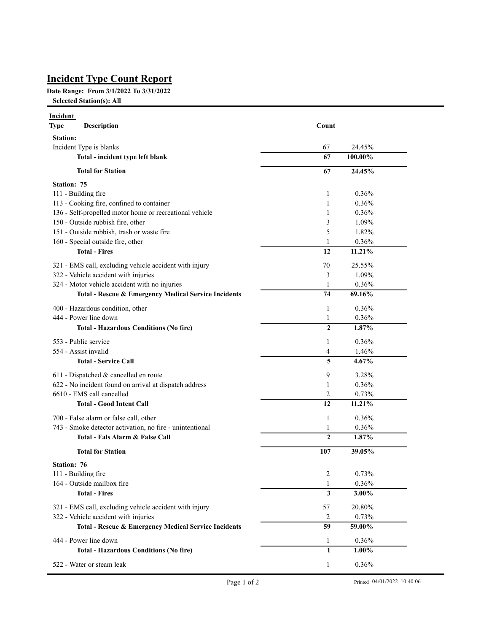## **Incident Type Count Report**

## **Date Range: From 3/1/2022 To 3/31/2022**

**Selected Station(s): All**

| Incident                                                        |                |         |
|-----------------------------------------------------------------|----------------|---------|
| <b>Description</b><br>Type                                      | Count          |         |
| <b>Station:</b>                                                 |                |         |
| Incident Type is blanks                                         | 67             | 24.45%  |
| Total - incident type left blank                                | 67             | 100.00% |
| <b>Total for Station</b>                                        | 67             | 24.45%  |
| <b>Station: 75</b>                                              |                |         |
| 111 - Building fire                                             | 1              | 0.36%   |
| 113 - Cooking fire, confined to container                       | 1              | 0.36%   |
| 136 - Self-propelled motor home or recreational vehicle         | 1              | 0.36%   |
| 150 - Outside rubbish fire, other                               | 3              | 1.09%   |
| 151 - Outside rubbish, trash or waste fire                      | 5              | 1.82%   |
| 160 - Special outside fire, other                               | 1              | 0.36%   |
| <b>Total - Fires</b>                                            | 12             | 11.21%  |
| 321 - EMS call, excluding vehicle accident with injury          | 70             | 25.55%  |
| 322 - Vehicle accident with injuries                            | 3              | 1.09%   |
| 324 - Motor vehicle accident with no injuries                   | 1              | 0.36%   |
| <b>Total - Rescue &amp; Emergency Medical Service Incidents</b> | 74             | 69.16%  |
| 400 - Hazardous condition, other                                | $\mathbf{1}$   | 0.36%   |
| 444 - Power line down                                           | 1              | 0.36%   |
| <b>Total - Hazardous Conditions (No fire)</b>                   | $\overline{2}$ | 1.87%   |
| 553 - Public service                                            | 1              | 0.36%   |
| 554 - Assist invalid                                            | 4              | 1.46%   |
| <b>Total - Service Call</b>                                     | 5              | 4.67%   |
| $611$ - Dispatched & cancelled en route                         | 9              | 3.28%   |
| 622 - No incident found on arrival at dispatch address          | 1              | 0.36%   |
| 6610 - EMS call cancelled                                       | 2              | 0.73%   |
| <b>Total - Good Intent Call</b>                                 | 12             | 11.21%  |
| 700 - False alarm or false call, other                          | $\mathbf{1}$   | 0.36%   |
| 743 - Smoke detector activation, no fire - unintentional        | 1              | 0.36%   |
| Total - Fals Alarm & False Call                                 | $\overline{2}$ | 1.87%   |
| <b>Total for Station</b>                                        | 107            | 39.05%  |
| <b>Station: 76</b>                                              |                |         |
| 111 - Building fire                                             | 2              | 0.73%   |
| 164 - Outside mailbox fire                                      | 1              | 0.36%   |
| <b>Total - Fires</b>                                            | 3              | 3.00%   |
|                                                                 |                |         |
| 321 - EMS call, excluding vehicle accident with injury          | 57             | 20.80%  |
| 322 - Vehicle accident with injuries                            | 2              | 0.73%   |
| Total - Rescue & Emergency Medical Service Incidents            | 59             | 59.00%  |
| 444 - Power line down                                           | 1              | 0.36%   |
| <b>Total - Hazardous Conditions (No fire)</b>                   | $\mathbf{1}$   | 1.00%   |
| 522 - Water or steam leak                                       | $\mathbf{1}$   | 0.36%   |